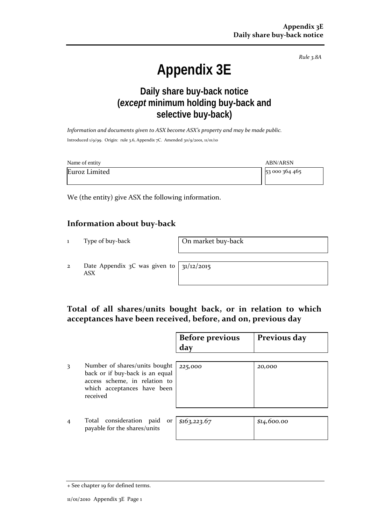*Rule 3.8A*

# **Appendix 3E**

## **Daily share buy-back notice (***except* **minimum holding buy-back and selective buy-back)**

*Information and documents given to ASX become ASX's property and may be made public.* Introduced 1/9/99. Origin: rule 3.6, Appendix 7C. Amended 30/9/2001, 11/01/10

| Name of entity | <b>ABN/ARSN</b> |
|----------------|-----------------|
| Euroz Limited  | 53 000 364 465  |

We (the entity) give ASX the following information.

## **Information about buy-back**

1 Type of buy-back **On market buy-back** 

2 Date Appendix 3C was given to ASX

31/12/2015

## **Total of all shares/units bought back, or in relation to which acceptances have been received, before, and on, previous day**

|                |                                                                                                                                              | <b>Before previous</b><br>day | Previous day |
|----------------|----------------------------------------------------------------------------------------------------------------------------------------------|-------------------------------|--------------|
| 3              | Number of shares/units bought<br>back or if buy-back is an equal<br>access scheme, in relation to<br>which acceptances have been<br>received | 225,000                       | 20,000       |
| $\overline{4}$ | Total consideration paid<br>or<br>payable for the shares/units                                                                               | \$163, 223.67                 | \$14,600.00  |

<sup>+</sup> See chapter 19 for defined terms.